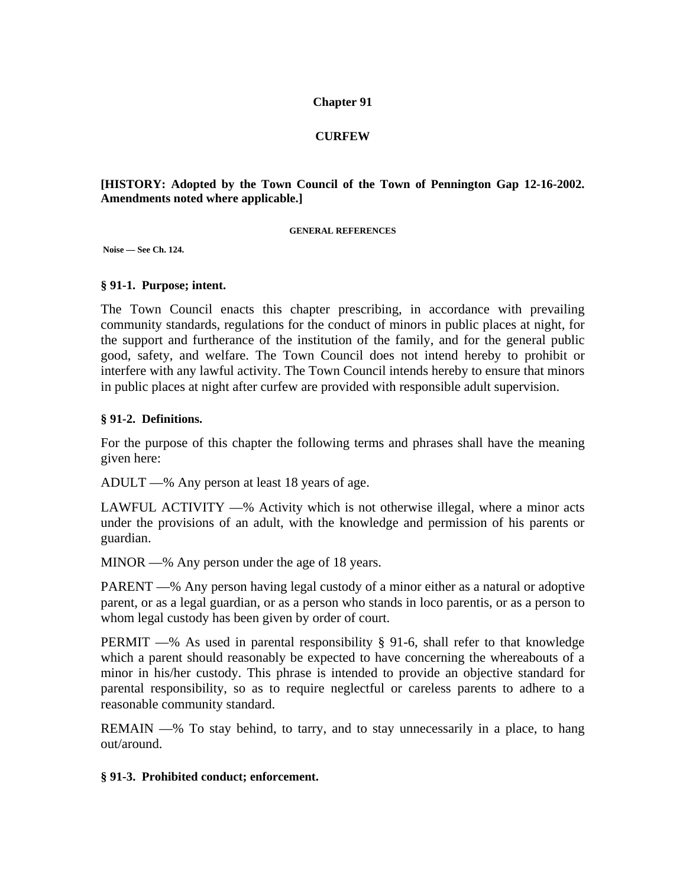### **Chapter 91**

### **CURFEW**

### **[HISTORY: Adopted by the Town Council of the Town of Pennington Gap 12-16-2002. Amendments noted where applicable.]**

#### **GENERAL REFERENCES**

 **Noise — See Ch. 124.** 

### **§ 91-1. Purpose; intent.**

The Town Council enacts this chapter prescribing, in accordance with prevailing community standards, regulations for the conduct of minors in public places at night, for the support and furtherance of the institution of the family, and for the general public good, safety, and welfare. The Town Council does not intend hereby to prohibit or interfere with any lawful activity. The Town Council intends hereby to ensure that minors in public places at night after curfew are provided with responsible adult supervision.

### **§ 91-2. Definitions.**

For the purpose of this chapter the following terms and phrases shall have the meaning given here:

ADULT —% Any person at least 18 years of age.

LAWFUL ACTIVITY —% Activity which is not otherwise illegal, where a minor acts under the provisions of an adult, with the knowledge and permission of his parents or guardian.

MINOR —% Any person under the age of 18 years.

PARENT —% Any person having legal custody of a minor either as a natural or adoptive parent, or as a legal guardian, or as a person who stands in loco parentis, or as a person to whom legal custody has been given by order of court.

PERMIT —% As used in parental responsibility § 91-6, shall refer to that knowledge which a parent should reasonably be expected to have concerning the whereabouts of a minor in his/her custody. This phrase is intended to provide an objective standard for parental responsibility, so as to require neglectful or careless parents to adhere to a reasonable community standard.

REMAIN —% To stay behind, to tarry, and to stay unnecessarily in a place, to hang out/around.

### **§ 91-3. Prohibited conduct; enforcement.**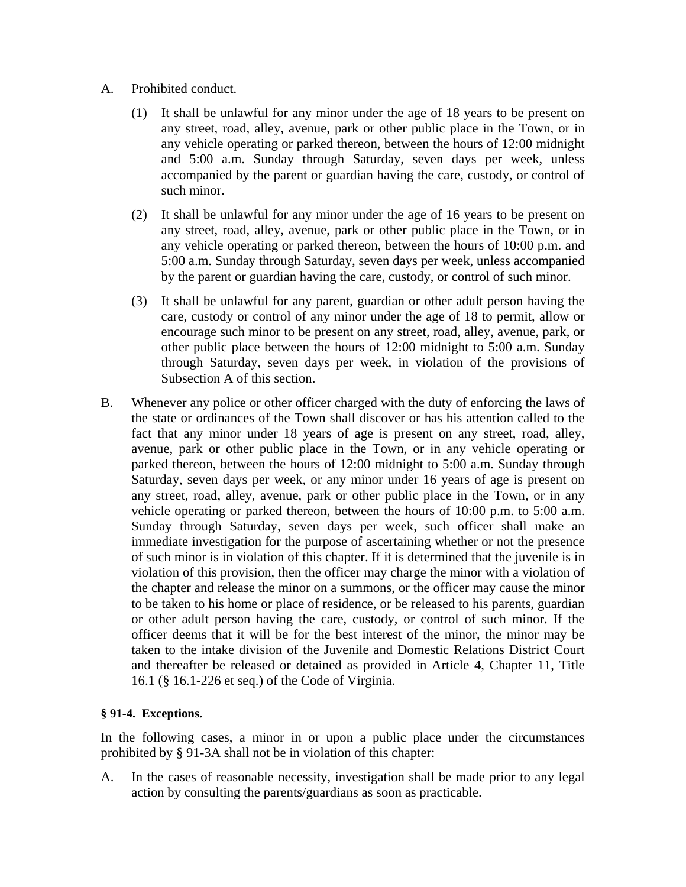- A. Prohibited conduct.
	- (1) It shall be unlawful for any minor under the age of 18 years to be present on any street, road, alley, avenue, park or other public place in the Town, or in any vehicle operating or parked thereon, between the hours of 12:00 midnight and 5:00 a.m. Sunday through Saturday, seven days per week, unless accompanied by the parent or guardian having the care, custody, or control of such minor.
	- (2) It shall be unlawful for any minor under the age of 16 years to be present on any street, road, alley, avenue, park or other public place in the Town, or in any vehicle operating or parked thereon, between the hours of 10:00 p.m. and 5:00 a.m. Sunday through Saturday, seven days per week, unless accompanied by the parent or guardian having the care, custody, or control of such minor.
	- (3) It shall be unlawful for any parent, guardian or other adult person having the care, custody or control of any minor under the age of 18 to permit, allow or encourage such minor to be present on any street, road, alley, avenue, park, or other public place between the hours of 12:00 midnight to 5:00 a.m. Sunday through Saturday, seven days per week, in violation of the provisions of Subsection A of this section.
- B. Whenever any police or other officer charged with the duty of enforcing the laws of the state or ordinances of the Town shall discover or has his attention called to the fact that any minor under 18 years of age is present on any street, road, alley, avenue, park or other public place in the Town, or in any vehicle operating or parked thereon, between the hours of 12:00 midnight to 5:00 a.m. Sunday through Saturday, seven days per week, or any minor under 16 years of age is present on any street, road, alley, avenue, park or other public place in the Town, or in any vehicle operating or parked thereon, between the hours of 10:00 p.m. to 5:00 a.m. Sunday through Saturday, seven days per week, such officer shall make an immediate investigation for the purpose of ascertaining whether or not the presence of such minor is in violation of this chapter. If it is determined that the juvenile is in violation of this provision, then the officer may charge the minor with a violation of the chapter and release the minor on a summons, or the officer may cause the minor to be taken to his home or place of residence, or be released to his parents, guardian or other adult person having the care, custody, or control of such minor. If the officer deems that it will be for the best interest of the minor, the minor may be taken to the intake division of the Juvenile and Domestic Relations District Court and thereafter be released or detained as provided in Article 4, Chapter 11, Title 16.1 (§ 16.1-226 et seq.) of the Code of Virginia.

# **§ 91-4. Exceptions.**

In the following cases, a minor in or upon a public place under the circumstances prohibited by § 91-3A shall not be in violation of this chapter:

A. In the cases of reasonable necessity, investigation shall be made prior to any legal action by consulting the parents/guardians as soon as practicable.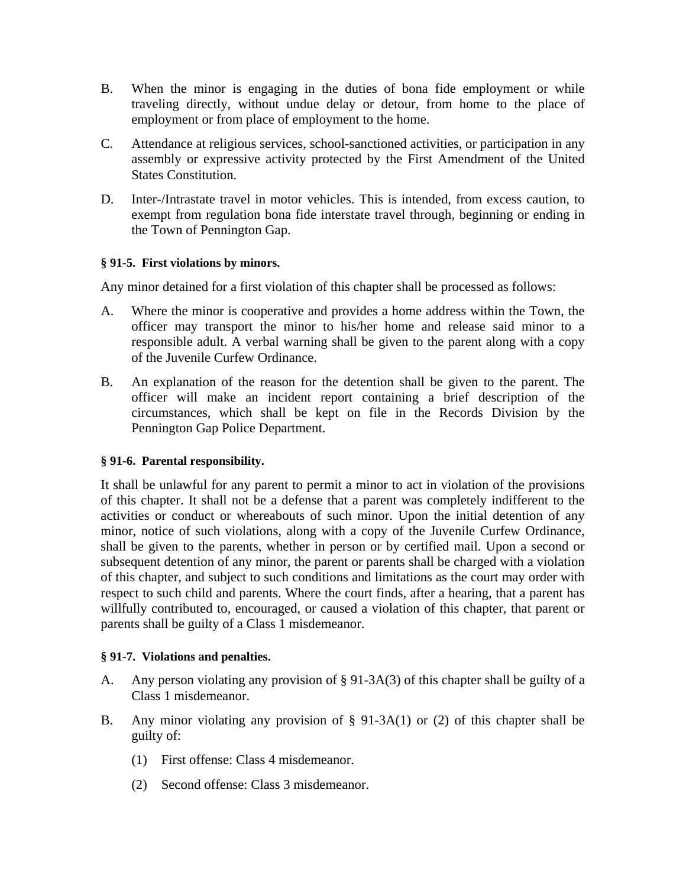- B. When the minor is engaging in the duties of bona fide employment or while traveling directly, without undue delay or detour, from home to the place of employment or from place of employment to the home.
- C. Attendance at religious services, school-sanctioned activities, or participation in any assembly or expressive activity protected by the First Amendment of the United States Constitution.
- D. Inter-/Intrastate travel in motor vehicles. This is intended, from excess caution, to exempt from regulation bona fide interstate travel through, beginning or ending in the Town of Pennington Gap.

# **§ 91-5. First violations by minors.**

Any minor detained for a first violation of this chapter shall be processed as follows:

- A. Where the minor is cooperative and provides a home address within the Town, the officer may transport the minor to his/her home and release said minor to a responsible adult. A verbal warning shall be given to the parent along with a copy of the Juvenile Curfew Ordinance.
- B. An explanation of the reason for the detention shall be given to the parent. The officer will make an incident report containing a brief description of the circumstances, which shall be kept on file in the Records Division by the Pennington Gap Police Department.

# **§ 91-6. Parental responsibility.**

It shall be unlawful for any parent to permit a minor to act in violation of the provisions of this chapter. It shall not be a defense that a parent was completely indifferent to the activities or conduct or whereabouts of such minor. Upon the initial detention of any minor, notice of such violations, along with a copy of the Juvenile Curfew Ordinance, shall be given to the parents, whether in person or by certified mail. Upon a second or subsequent detention of any minor, the parent or parents shall be charged with a violation of this chapter, and subject to such conditions and limitations as the court may order with respect to such child and parents. Where the court finds, after a hearing, that a parent has willfully contributed to, encouraged, or caused a violation of this chapter, that parent or parents shall be guilty of a Class 1 misdemeanor.

# **§ 91-7. Violations and penalties.**

- A. Any person violating any provision of § 91-3A(3) of this chapter shall be guilty of a Class 1 misdemeanor.
- B. Any minor violating any provision of § 91-3A(1) or (2) of this chapter shall be guilty of:
	- (1) First offense: Class 4 misdemeanor.
	- (2) Second offense: Class 3 misdemeanor.